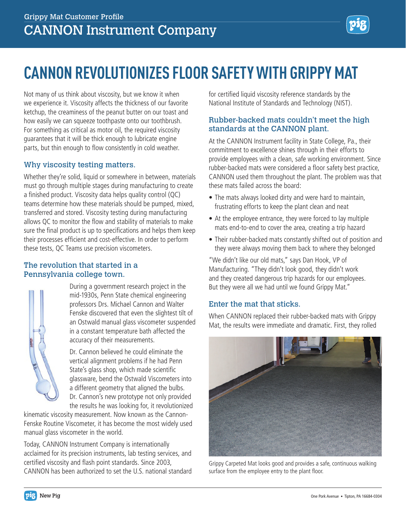# **CANNON REVOLUTIONIZES FLOOR SAFETY WITH GRIPPY MAT**

Not many of us think about viscosity, but we know it when we experience it. Viscosity affects the thickness of our favorite ketchup, the creaminess of the peanut butter on our toast and how easily we can squeeze toothpaste onto our toothbrush. For something as critical as motor oil, the required viscosity guarantees that it will be thick enough to lubricate engine parts, but thin enough to flow consistently in cold weather.

### Why viscosity testing matters.

Whether they're solid, liquid or somewhere in between, materials must go through multiple stages during manufacturing to create a finished product. Viscosity data helps quality control (QC) teams determine how these materials should be pumped, mixed, transferred and stored. Viscosity testing during manufacturing allows QC to monitor the flow and stability of materials to make sure the final product is up to specifications and helps them keep their processes efficient and cost-effective. In order to perform these tests, QC Teams use precision viscometers.

### The revolution that started in a Pennsylvania college town.



During a government research project in the mid-1930s, Penn State chemical engineering professors Drs. Michael Cannon and Walter Fenske discovered that even the slightest tilt of an Ostwald manual glass viscometer suspended in a constant temperature bath affected the accuracy of their measurements.

Dr. Cannon believed he could eliminate the vertical alignment problems if he had Penn State's glass shop, which made scientific glassware, bend the Ostwald Viscometers into a different geometry that aligned the bulbs. Dr. Cannon's new prototype not only provided the results he was looking for, it revolutionized

kinematic viscosity measurement. Now known as the Cannon-Fenske Routine Viscometer, it has become the most widely used manual glass viscometer in the world.

Today, CANNON Instrument Company is internationally acclaimed for its precision instruments, lab testing services, and certified viscosity and flash point standards. Since 2003, CANNON has been authorized to set the U.S. national standard

for certified liquid viscosity reference standards by the National Institute of Standards and Technology (NIST).

# Rubber-backed mats couldn't meet the high standards at the CANNON plant.

At the CANNON Instrument facility in State College, Pa., their commitment to excellence shines through in their efforts to provide employees with a clean, safe working environment. Since rubber-backed mats were considered a floor safety best practice, CANNON used them throughout the plant. The problem was that these mats failed across the board:

- The mats always looked dirty and were hard to maintain, frustrating efforts to keep the plant clean and neat
- At the employee entrance, they were forced to lay multiple mats end-to-end to cover the area, creating a trip hazard
- Their rubber-backed mats constantly shifted out of position and they were always moving them back to where they belonged

"We didn't like our old mats," says Dan Hook, VP of Manufacturing. "They didn't look good, they didn't work and they created dangerous trip hazards for our employees. But they were all we had until we found Grippy Mat."

## Enter the mat that sticks.

When CANNON replaced their rubber-backed mats with Grippy Mat, the results were immediate and dramatic. First, they rolled



Grippy Carpeted Mat looks good and provides a safe, continuous walking surface from the employee entry to the plant floor.